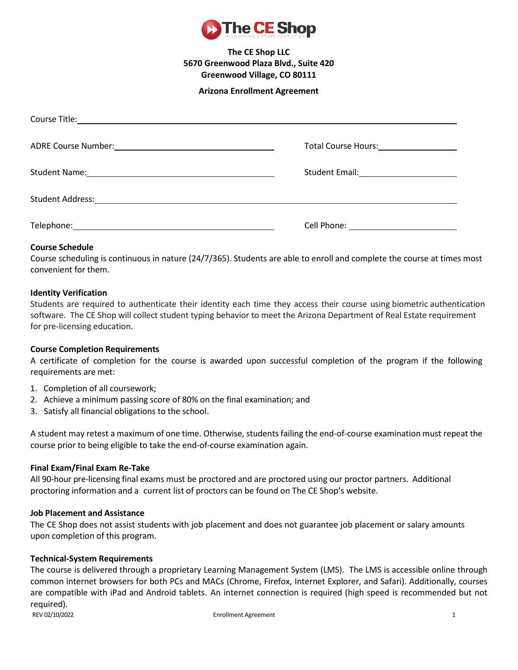

## **Arizona Enrollment Agreement**

| Total Course Hours:<br><u> Letter Lourse and Lours:</u> |
|---------------------------------------------------------|
|                                                         |
|                                                         |
| Cell Phone: <u>_______________________</u>              |

## **Course Schedule**

Course scheduling is continuous in nature (24/7/365). Students are able to enroll and complete the course at times most convenient for them.

## **Identity Verification**

Students are required to authenticate their identity each time they access their course using biometric authentication software. The CE Shop will collect student typing behavior to meet the Arizona Department of Real Estate requirement for pre-licensing education.

## **Course Completion Requirements**

A certificate of completion for the course is awarded upon successful completion of the program if the following requirements are met:

- 1. Completion of all coursework;
- 2. Achieve a minimum passing score of 80% on the final examination; and
- 3. Satisfy all financial obligations to the school.

A student may retest a maximum of one time. Otherwise, students failing the end-of-course examination must repeat the course prior to being eligible to take the end-of-course examination again.

## **Final Exam/Final Exam Re-Take**

All 90-hour pre-licensing final exams must be proctored and are proctored using our proctor partners. Additional proctoring information and a current list of proctors can be found on The CE Shop's website.

## **Job Placement and Assistance**

The CE Shop does not assist students with job placement and does not guarantee job placement or salary amounts upon completion of this program.

## **Technical-System Requirements**

REV 02/10/2022 **Enrollment Agreement** 1 The course is delivered through a proprietary Learning Management System (LMS). The LMS is accessible online through common internet browsers for both PCs and MACs (Chrome, Firefox, Internet Explorer, and Safari). Additionally, courses are compatible with iPad and Android tablets. An internet connection is required (high speed is recommended but not required).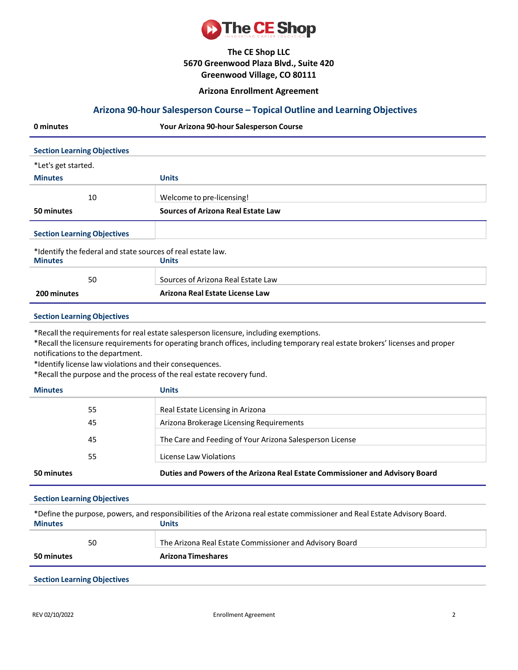

### **Arizona Enrollment Agreement**

## **Arizona 90-hour Salesperson Course – Topical Outline and Learning Objectives**

| 0 minutes                                                   | Your Arizona 90-hour Salesperson Course   |
|-------------------------------------------------------------|-------------------------------------------|
| <b>Section Learning Objectives</b>                          |                                           |
| *Let's get started.                                         |                                           |
| <b>Minutes</b>                                              | <b>Units</b>                              |
| 10                                                          | Welcome to pre-licensing!                 |
| 50 minutes                                                  | <b>Sources of Arizona Real Estate Law</b> |
| <b>Section Learning Objectives</b>                          |                                           |
| *Identify the federal and state sources of real estate law. |                                           |
| <b>Minutes</b>                                              | <b>Units</b>                              |
| 50                                                          | Sources of Arizona Real Estate Law        |
| 200 minutes                                                 | Arizona Real Estate License Law           |

### **Section LearningObjectives**

\*Recall the requirements for real estate salesperson licensure, including exemptions.

\*Recall the licensure requirements for operating branch offices, including temporary real estate brokers' licenses and proper notifications to the department.

\*Identify license law violations and their consequences.

\*Recall the purpose and the process of the real estate recovery fund.

| <b>Minutes</b> | <b>Units</b>                                                                 |
|----------------|------------------------------------------------------------------------------|
| 55             | Real Estate Licensing in Arizona                                             |
| 45             | Arizona Brokerage Licensing Requirements                                     |
| 45             | The Care and Feeding of Your Arizona Salesperson License                     |
| 55             | License Law Violations                                                       |
| 50 minutes     | Duties and Powers of the Arizona Real Estate Commissioner and Advisory Board |

### **Section LearningObjectives**

| *Define the purpose, powers, and responsibilities of the Arizona real estate commissioner and Real Estate Advisory Board. |                                                         |  |
|---------------------------------------------------------------------------------------------------------------------------|---------------------------------------------------------|--|
| <b>Minutes</b>                                                                                                            | Units                                                   |  |
| 50                                                                                                                        | The Arizona Real Estate Commissioner and Advisory Board |  |
| 50 minutes                                                                                                                | <b>Arizona Timeshares</b>                               |  |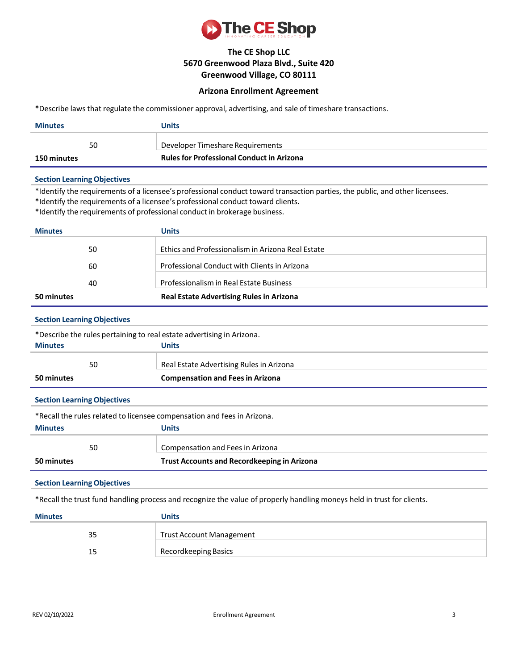

## **Arizona Enrollment Agreement**

\*Describe laws that regulate the commissioner approval, advertising, and sale of timeshare transactions.

| <b>Minutes</b>                                                                                                         | <b>Units</b>                                                                                                                                                                                                                                                                                 |
|------------------------------------------------------------------------------------------------------------------------|----------------------------------------------------------------------------------------------------------------------------------------------------------------------------------------------------------------------------------------------------------------------------------------------|
| 50                                                                                                                     | Developer Timeshare Requirements                                                                                                                                                                                                                                                             |
| 150 minutes                                                                                                            | <b>Rules for Professional Conduct in Arizona</b>                                                                                                                                                                                                                                             |
| <b>Section Learning Objectives</b>                                                                                     |                                                                                                                                                                                                                                                                                              |
|                                                                                                                        | *Identify the requirements of a licensee's professional conduct toward transaction parties, the public, and other licensees.<br>*Identify the requirements of a licensee's professional conduct toward clients.<br>*Identify the requirements of professional conduct in brokerage business. |
| <b>Minutes</b>                                                                                                         | <b>Units</b>                                                                                                                                                                                                                                                                                 |
| 50                                                                                                                     | Ethics and Professionalism in Arizona Real Estate                                                                                                                                                                                                                                            |
| 60                                                                                                                     | Professional Conduct with Clients in Arizona                                                                                                                                                                                                                                                 |
| 40                                                                                                                     | Professionalism in Real Estate Business                                                                                                                                                                                                                                                      |
| 50 minutes                                                                                                             | <b>Real Estate Advertising Rules in Arizona</b>                                                                                                                                                                                                                                              |
| <b>Section Learning Objectives</b>                                                                                     |                                                                                                                                                                                                                                                                                              |
| *Describe the rules pertaining to real estate advertising in Arizona.                                                  |                                                                                                                                                                                                                                                                                              |
| <b>Minutes</b>                                                                                                         | <b>Units</b>                                                                                                                                                                                                                                                                                 |
| 50                                                                                                                     | Real Estate Advertising Rules in Arizona                                                                                                                                                                                                                                                     |
| 50 minutes                                                                                                             | <b>Compensation and Fees in Arizona</b>                                                                                                                                                                                                                                                      |
| <b>Section Learning Objectives</b>                                                                                     |                                                                                                                                                                                                                                                                                              |
|                                                                                                                        | *Recall the rules related to licensee compensation and fees in Arizona.                                                                                                                                                                                                                      |
| <b>Minutes</b>                                                                                                         | <b>Units</b>                                                                                                                                                                                                                                                                                 |
| 50                                                                                                                     | Compensation and Fees in Arizona                                                                                                                                                                                                                                                             |
| 50 minutes                                                                                                             | <b>Trust Accounts and Recordkeeping in Arizona</b>                                                                                                                                                                                                                                           |
| <b>Section Learning Objectives</b>                                                                                     |                                                                                                                                                                                                                                                                                              |
| *Recall the trust fund handling process and recognize the value of properly handling moneys held in trust for clients. |                                                                                                                                                                                                                                                                                              |
| <b>Minutes</b>                                                                                                         | <b>Units</b>                                                                                                                                                                                                                                                                                 |
| 35                                                                                                                     | <b>Trust Account Management</b>                                                                                                                                                                                                                                                              |
| 15                                                                                                                     | Recordkeeping Basics                                                                                                                                                                                                                                                                         |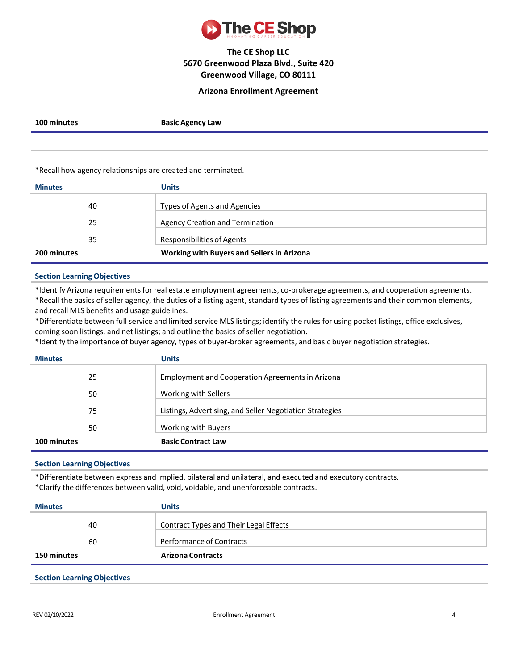

### **Arizona Enrollment Agreement**

**100 minutes Basic Agency Law**

\*Recall how agency relationships are created and terminated.

| <b>Minutes</b> | <b>Units</b>                                      |
|----------------|---------------------------------------------------|
| 40             | Types of Agents and Agencies                      |
| 25             | <b>Agency Creation and Termination</b>            |
| 35             | Responsibilities of Agents                        |
| 200 minutes    | <b>Working with Buyers and Sellers in Arizona</b> |

### **Section LearningObjectives**

\*Identify Arizona requirementsfor real estate employment agreements, co-brokerage agreements, and cooperation agreements. \*Recall the basics of seller agency, the duties of a listing agent, standard types of listing agreements and their common elements, and recall MLS benefits and usage guidelines.

\*Differentiate between full service and limited service MLS listings; identify the rules for using pocket listings, office exclusives, coming soon listings, and net listings; and outline the basics of seller negotiation.

\*Identify the importance of buyer agency, types of buyer-broker agreements, and basic buyer negotiation strategies.

| <b>Minutes</b> | <b>Units</b>                                             |
|----------------|----------------------------------------------------------|
| 25             | Employment and Cooperation Agreements in Arizona         |
| 50             | Working with Sellers                                     |
| 75             | Listings, Advertising, and Seller Negotiation Strategies |
| 50             | Working with Buyers                                      |
| 100 minutes    | <b>Basic Contract Law</b>                                |

### **Section LearningObjectives**

\*Differentiate between express and implied, bilateral and unilateral, and executed and executory contracts. \*Clarify the differences between valid, void, voidable, and unenforceable contracts.

| <b>Minutes</b>     | <b>Units</b>                           |
|--------------------|----------------------------------------|
| 40                 | Contract Types and Their Legal Effects |
| 60                 | <b>Performance of Contracts</b>        |
| <b>150 minutes</b> | <b>Arizona Contracts</b>               |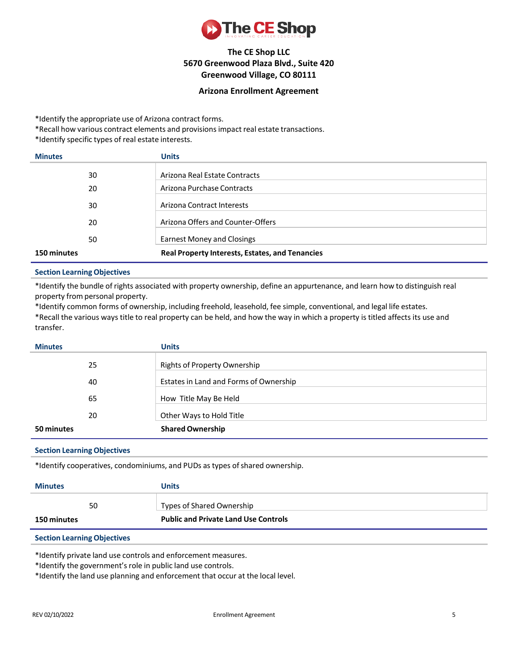

## **Arizona Enrollment Agreement**

\*Identify the appropriate use of Arizona contract forms.

\*Recall how various contract elements and provisions impact real estate transactions.

\*Identify specific types of real estate interests.

| <b>Minutes</b> | <b>Units</b>                                           |
|----------------|--------------------------------------------------------|
| 30             | Arizona Real Estate Contracts                          |
| 20             | Arizona Purchase Contracts                             |
| 30             | Arizona Contract Interests                             |
| 20             | Arizona Offers and Counter-Offers                      |
| 50             | <b>Earnest Money and Closings</b>                      |
| 150 minutes    | <b>Real Property Interests, Estates, and Tenancies</b> |

### **Section LearningObjectives**

\*Identify the bundle of rights associated with property ownership, define an appurtenance, and learn how to distinguish real property from personal property.

\*Identify common forms of ownership, including freehold, leasehold, fee simple, conventional, and legal life estates. \*Recall the various ways title to real property can be held, and how the way in which a property is titled affects its use and transfer.

| <b>Minutes</b> | <b>Units</b>                           |
|----------------|----------------------------------------|
| 25             | Rights of Property Ownership           |
| 40             | Estates in Land and Forms of Ownership |
| 65             | How Title May Be Held                  |
| 20             | Other Ways to Hold Title               |
| 50 minutes     | <b>Shared Ownership</b>                |

### **Section LearningObjectives**

\*Identify cooperatives, condominiums, and PUDs as types of shared ownership.

| <b>Minutes</b>     | <b>Units</b>                                |
|--------------------|---------------------------------------------|
| 50                 | Types of Shared Ownership                   |
| <b>150 minutes</b> | <b>Public and Private Land Use Controls</b> |

### **Section LearningObjectives**

\*Identify private land use controls and enforcement measures.

\*Identify the government's role in public land use controls.

\*Identify the land use planning and enforcement that occur at the local level.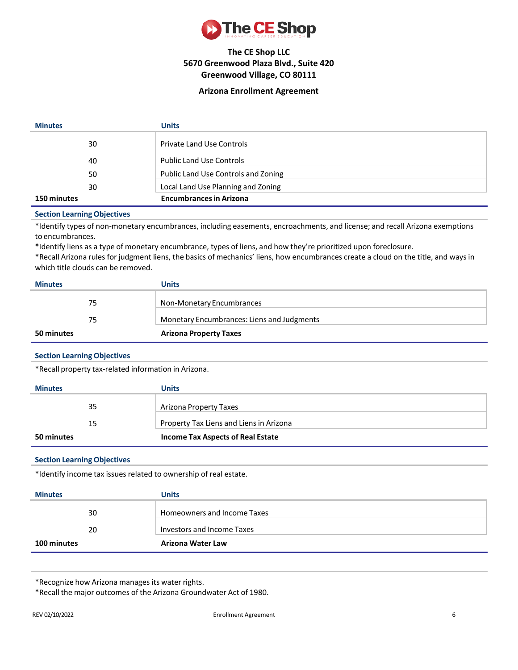

## **Arizona Enrollment Agreement**

| <b>Minutes</b> |    | Units                               |
|----------------|----|-------------------------------------|
|                | 30 | <b>Private Land Use Controls</b>    |
|                | 40 | <b>Public Land Use Controls</b>     |
|                | 50 | Public Land Use Controls and Zoning |
|                | 30 | Local Land Use Planning and Zoning  |
| 150 minutes    |    | <b>Encumbrances in Arizona</b>      |

#### **Section LearningObjectives**

\*Identify types of non-monetary encumbrances, including easements, encroachments, and license; and recall Arizona exemptions to encumbrances.

\*Identify liens as a type of monetary encumbrance, types of liens, and how they're prioritized upon foreclosure.

\*Recall Arizona rules for judgment liens, the basics of mechanics' liens, how encumbrances create a cloud on the title, and ways in which title clouds can be removed.

| <b>Minutes</b> | <b>Units</b>                               |
|----------------|--------------------------------------------|
| 75             | Non-Monetary Encumbrances                  |
| 75             | Monetary Encumbrances: Liens and Judgments |
| 50 minutes     | <b>Arizona Property Taxes</b>              |

### **Section LearningObjectives**

\*Recall property tax-related information in Arizona.

| <b>Minutes</b> |    | <b>Units</b>                             |
|----------------|----|------------------------------------------|
|                | 35 | Arizona Property Taxes                   |
|                | 15 | Property Tax Liens and Liens in Arizona  |
| 50 minutes     |    | <b>Income Tax Aspects of Real Estate</b> |

### **Section LearningObjectives**

\*Identify income tax issues related to ownership of real estate.

| <b>Minutes</b> | <b>Units</b>                |
|----------------|-----------------------------|
| 30             | Homeowners and Income Taxes |
| 20             | Investors and Income Taxes  |
| 100 minutes    | Arizona Water Law           |

\*Recognize how Arizona manages its water rights.

\*Recall the major outcomes of the Arizona Groundwater Act of 1980.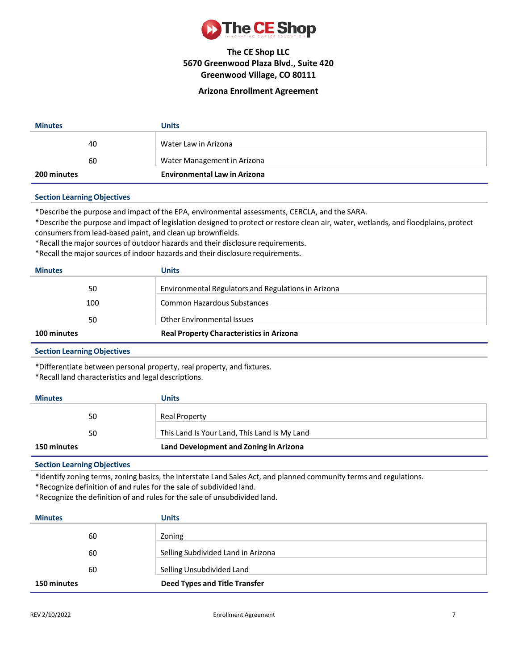

### **Arizona Enrollment Agreement**

| <b>Minutes</b> | <b>Units</b>                        |
|----------------|-------------------------------------|
| 40             | Water Law in Arizona                |
| 60             | Water Management in Arizona         |
| 200 minutes    | <b>Environmental Law in Arizona</b> |

### **Section LearningObjectives**

\*Describe the purpose and impact of the EPA, environmental assessments, CERCLA, and the SARA.

\*Describe the purpose and impact of legislation designed to protect or restore clean air, water, wetlands, and floodplains, protect consumers from lead-based paint, and clean up brownfields.

\*Recall the majorsources of outdoor hazards and their disclosure requirements.

\*Recall the majorsources of indoor hazards and their disclosure requirements.

| <b>Minutes</b> | Units                                               |
|----------------|-----------------------------------------------------|
| 50             | Environmental Regulators and Regulations in Arizona |
| 100            | Common Hazardous Substances                         |
| 50             | <b>Other Environmental Issues</b>                   |
| 100 minutes    | <b>Real Property Characteristics in Arizona</b>     |

### **Section LearningObjectives**

\*Differentiate between personal property, real property, and fixtures.

\*Recall land characteristics and legal descriptions.

| <b>Minutes</b>     | Units                                        |
|--------------------|----------------------------------------------|
| 50                 | <b>Real Property</b>                         |
| 50                 | This Land Is Your Land, This Land Is My Land |
| <b>150 minutes</b> | Land Development and Zoning in Arizona       |

## **Section LearningObjectives**

\*Identify zoning terms, zoning basics, the Interstate Land Sales Act, and planned community terms and regulations.

\*Recognize definition of and rules for the sale of subdivided land.

\*Recognize the definition of and rules for the sale of unsubdivided land.

| <b>Minutes</b> | <b>Units</b>                         |
|----------------|--------------------------------------|
| 60             | Zoning                               |
| 60             | Selling Subdivided Land in Arizona   |
| 60             | Selling Unsubdivided Land            |
| 150 minutes    | <b>Deed Types and Title Transfer</b> |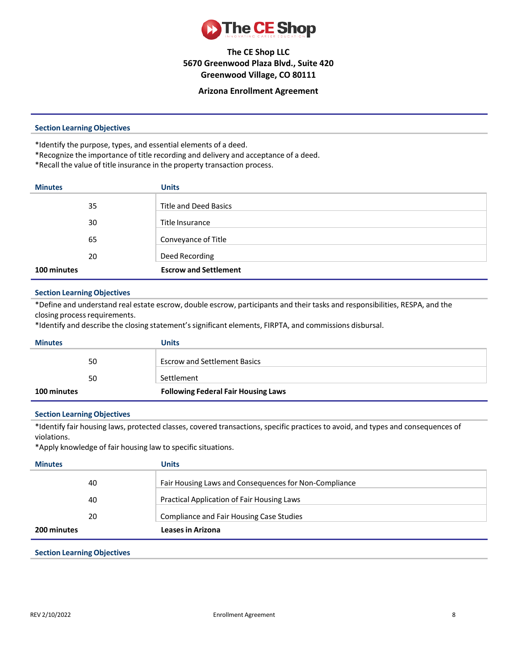

### **Arizona Enrollment Agreement**

### **Section LearningObjectives**

\*Identify the purpose, types, and essential elements of a deed.

- \*Recognize the importance of title recording and delivery and acceptance of a deed.
- \*Recall the value of title insurance in the property transaction process.

| <b>Minutes</b> | <b>Units</b>                 |
|----------------|------------------------------|
| 35             | <b>Title and Deed Basics</b> |
| 30             | Title Insurance              |
| 65             | Conveyance of Title          |
| 20             | Deed Recording               |
| 100 minutes    | <b>Escrow and Settlement</b> |

### **Section LearningObjectives**

\*Define and understand real estate escrow, double escrow, participants and their tasks and responsibilities, RESPA, and the closing process requirements.

\*Identify and describe the closing statement'ssignificant elements, FIRPTA, and commissions disbursal.

| <b>Minutes</b> |    | <b>Units</b>                               |
|----------------|----|--------------------------------------------|
|                | 50 | <b>Escrow and Settlement Basics</b>        |
|                |    |                                            |
|                | 50 | Settlement                                 |
| 100 minutes    |    | <b>Following Federal Fair Housing Laws</b> |

### **Section LearningObjectives**

\*Identify fair housing laws, protected classes, covered transactions, specific practices to avoid, and types and consequences of violations.

\*Apply knowledge of fair housing law to specific situations.

| <b>Minutes</b> |    | <b>Units</b>                                          |
|----------------|----|-------------------------------------------------------|
|                | 40 | Fair Housing Laws and Consequences for Non-Compliance |
|                | 40 | Practical Application of Fair Housing Laws            |
|                | 20 | Compliance and Fair Housing Case Studies              |
| 200 minutes    |    | <b>Leases in Arizona</b>                              |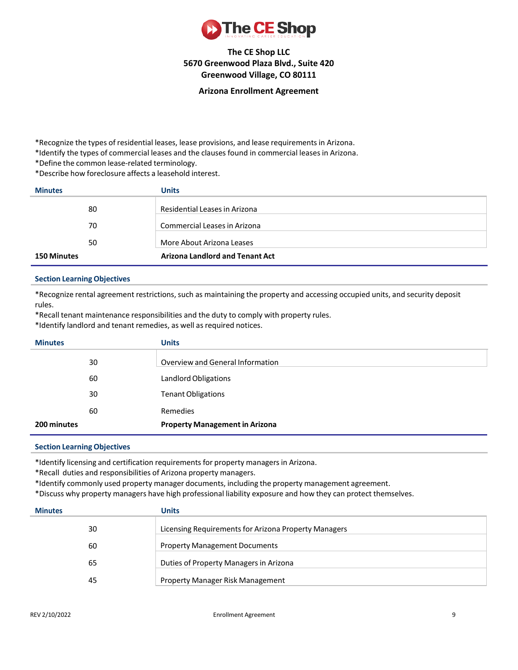

### **Arizona Enrollment Agreement**

\*Recognize the types of residential leases, lease provisions, and lease requirementsin Arizona.

\*Identify the types of commercial leases and the clauses found in commercial leases in Arizona.

\*Define the common lease-related terminology.

\*Describe how foreclosure affects a leasehold interest.

| <b>Minutes</b>     | <b>Units</b>                           |
|--------------------|----------------------------------------|
| 80                 | Residential Leases in Arizona          |
| 70                 | Commercial Leases in Arizona           |
| 50                 | More About Arizona Leases              |
| <b>150 Minutes</b> | <b>Arizona Landlord and Tenant Act</b> |

### **Section LearningObjectives**

\*Recognize rental agreement restrictions,such as maintaining the property and accessing occupied units, and security deposit rules.

\*Recall tenant maintenance responsibilities and the duty to comply with property rules.

\*Identify landlord and tenant remedies, as well as required notices.

| <b>Minutes</b> |    | <b>Units</b>                          |
|----------------|----|---------------------------------------|
|                | 30 | Overview and General Information      |
|                | 60 | Landlord Obligations                  |
|                | 30 | <b>Tenant Obligations</b>             |
|                | 60 | Remedies                              |
| 200 minutes    |    | <b>Property Management in Arizona</b> |

### **Section LearningObjectives**

\*Identify licensing and certification requirements for property managersin Arizona.

\*Recall duties and responsibilities of Arizona property managers.

\*Identify commonly used property manager documents, including the property management agreement.

\*Discuss why property managers have high professional liability exposure and how they can protect themselves.

| <b>Minutes</b> | <b>Units</b>                                         |
|----------------|------------------------------------------------------|
| 30             | Licensing Requirements for Arizona Property Managers |
| 60             | <b>Property Management Documents</b>                 |
| 65             | Duties of Property Managers in Arizona               |
| 45             | Property Manager Risk Management                     |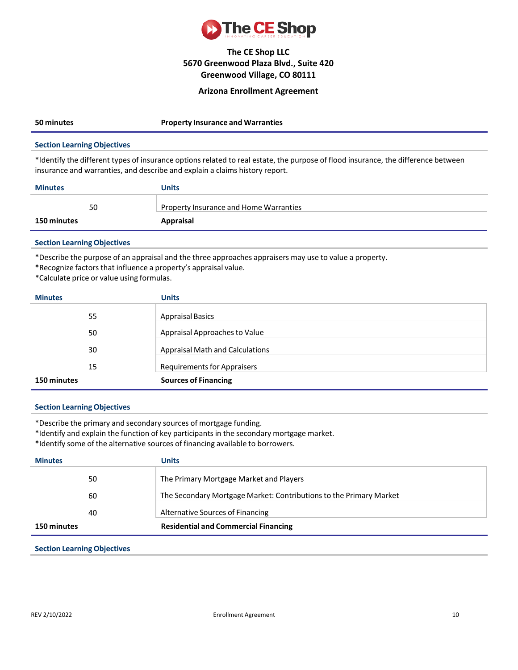

### **Arizona Enrollment Agreement**

| 50 minutes                  | <b>Property Insurance and Warranties</b> |
|-----------------------------|------------------------------------------|
| Continued on the Objectives |                                          |

### **Section LearningObjectives**

\*Identify the different types of insurance options related to real estate, the purpose of flood insurance, the difference between insurance and warranties, and describe and explain a claims history report.

| <b>Minutes</b>     |    | <b>Units</b>                           |
|--------------------|----|----------------------------------------|
|                    | 50 | Property Insurance and Home Warranties |
| <b>150 minutes</b> |    | Appraisal                              |

### **Section LearningObjectives**

\*Describe the purpose of an appraisal and the three approaches appraisers may use to value a property.

\*Recognize factors that influence a property's appraisal value.

\*Calculate price or value using formulas.

| <b>Minutes</b> | <b>Units</b>                           |
|----------------|----------------------------------------|
| 55             | <b>Appraisal Basics</b>                |
| 50             | Appraisal Approaches to Value          |
| 30             | <b>Appraisal Math and Calculations</b> |
| 15             | <b>Requirements for Appraisers</b>     |
| 150 minutes    | <b>Sources of Financing</b>            |

### **Section LearningObjectives**

\*Describe the primary and secondary sources of mortgage funding.

\*Identify and explain the function of key participants in the secondary mortgage market.

\*Identify some of the alternative sources of financing available to borrowers.

| <b>Minutes</b> | Units                                                              |
|----------------|--------------------------------------------------------------------|
| 50             | The Primary Mortgage Market and Players                            |
| 60             | The Secondary Mortgage Market: Contributions to the Primary Market |
| 40             | Alternative Sources of Financing                                   |
| 150 minutes    | <b>Residential and Commercial Financing</b>                        |
|                |                                                                    |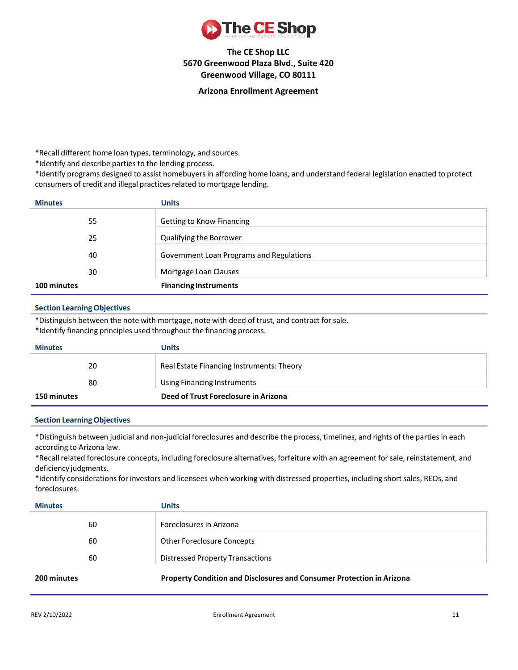

### **Arizona Enrollment Agreement**

\*Recall different home loan types, terminology, and sources.

\*Identify and describe parties to the lending process.

\*Identify programs designed to assist homebuyers in affording home loans, and understand federal legislation enacted to protect consumers of credit and illegal practices related to mortgage lending.

| <b>Minutes</b> | <b>Units</b>                             |
|----------------|------------------------------------------|
| 55             | <b>Getting to Know Financing</b>         |
| 25             | Qualifying the Borrower                  |
| 40             | Government Loan Programs and Regulations |
| 30             | Mortgage Loan Clauses                    |
| 100 minutes    | <b>Financing Instruments</b>             |

### **Section LearningObjectives**

\*Distinguish between the note with mortgage, note with deed of trust, and contract for sale.

\*Identify financing principles used throughout the financing process.

| <b>Minutes</b> | Units                                     |
|----------------|-------------------------------------------|
| 20             | Real Estate Financing Instruments: Theory |
| 80             | Using Financing Instruments               |
| 150 minutes    | Deed of Trust Foreclosure in Arizona      |

### **Section LearningObjectives**

\*Distinguish between judicial and non-judicial foreclosures and describe the process, timelines, and rights of the parties in each according to Arizona law.

\*Recall related foreclosure concepts, including foreclosure alternatives, forfeiture with an agreement forsale, reinstatement, and deficiency judgments.

\*Identify considerations for investors and licensees when working with distressed properties, including shortsales, REOs, and foreclosures.

| <b>Minutes</b> | <b>Units</b>                                                          |
|----------------|-----------------------------------------------------------------------|
| 60             | Foreclosures in Arizona                                               |
| 60             | Other Foreclosure Concepts                                            |
| 60             | <b>Distressed Property Transactions</b>                               |
| 200 minutes    | Property Condition and Disclosures and Consumer Protection in Arizona |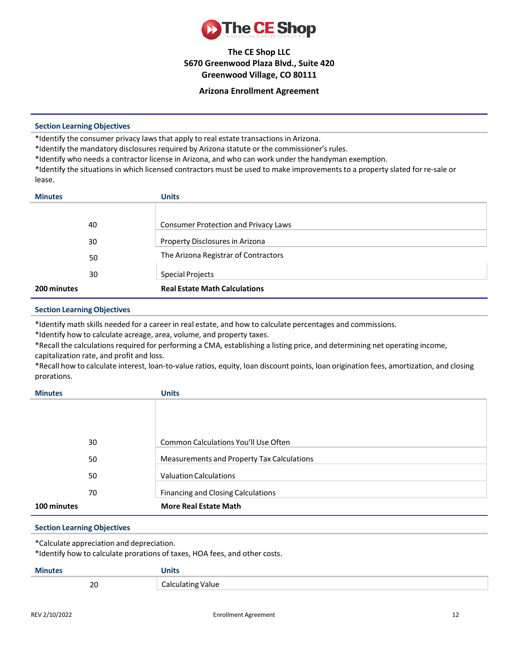

### **Arizona Enrollment Agreement**

### **Section LearningObjectives**

\*Identify the consumer privacy laws that apply to real estate transactions in Arizona.

\*Identify the mandatory disclosures required by Arizona statute or the commissioner's rules.

\*Identify who needs a contractor license in Arizona, and who can work under the handyman exemption.

\*Identify the situations in which licensed contractors must be used to make improvements to a property slated for re-sale or lease.

| <b>Minutes</b> | <b>Units</b>                                |
|----------------|---------------------------------------------|
|                |                                             |
| 40             | <b>Consumer Protection and Privacy Laws</b> |
| 30             | Property Disclosures in Arizona             |
| 50             | The Arizona Registrar of Contractors        |
| 30             | <b>Special Projects</b>                     |
| 200 minutes    | <b>Real Estate Math Calculations</b>        |

### **Section LearningObjectives**

\*Identify math skills needed for a career in real estate, and how to calculate percentages and commissions.

\*Identify how to calculate acreage, area, volume, and property taxes.

\*Recall the calculations required for performing a CMA, establishing a listing price, and determining net operating income, capitalization rate, and profit and loss.

\*Recall how to calculate interest, loan-to-value ratios, equity, loan discount points, loan origination fees, amortization, and closing prorations.

| <b>Minutes</b> | <b>Units</b>                               |
|----------------|--------------------------------------------|
|                |                                            |
|                |                                            |
|                |                                            |
|                |                                            |
| 30             | Common Calculations You'll Use Often       |
| 50             | Measurements and Property Tax Calculations |
|                |                                            |
| 50             | <b>Valuation Calculations</b>              |
| 70             | <b>Financing and Closing Calculations</b>  |
| 100 minutes    | <b>More Real Estate Math</b>               |

### **Section LearningObjectives**

\*Calculate appreciation and depreciation.

\*Identify how to calculate prorations of taxes, HOA fees, and other costs.

| <b>Minutes</b> | Units             |
|----------------|-------------------|
| 20             | Calculating Value |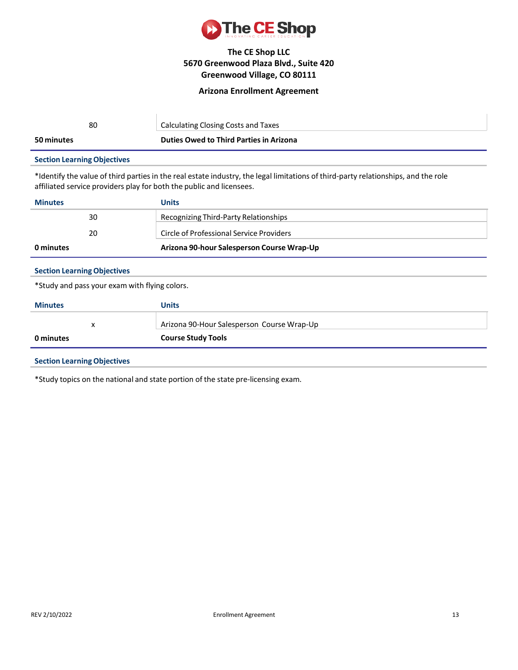

### **Arizona Enrollment Agreement**

| 80                                 | Calculating Closing Costs and Taxes            |
|------------------------------------|------------------------------------------------|
| 50 minutes                         | <b>Duties Owed to Third Parties in Arizona</b> |
| <b>Section Learning Objectives</b> |                                                |

\*Identify the value of third parties in the real estate industry, the legal limitations of third-party relationships, and the role affiliated service providers play for both the public and licensees.

| <b>Minutes</b> | <b>Units</b>                               |
|----------------|--------------------------------------------|
| 30             | Recognizing Third-Party Relationships      |
| 20             | Circle of Professional Service Providers   |
| 0 minutes      | Arizona 90-hour Salesperson Course Wrap-Up |

## **Section LearningObjectives**

\*Study and pass your exam with flying colors.

| x                                      | Arizona 90-Hour Salesperson Course Wrap-Up |
|----------------------------------------|--------------------------------------------|
| <b>Course Study Tools</b><br>0 minutes |                                            |

### **Section LearningObjectives**

\*Study topics on the national and state portion of the state pre-licensing exam.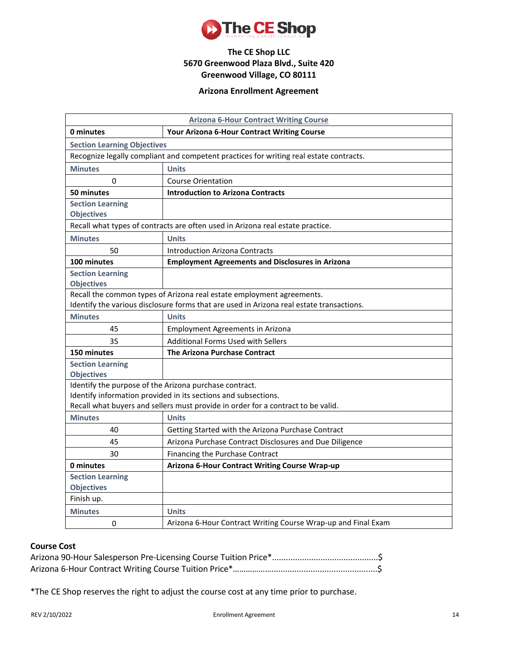

## **Arizona Enrollment Agreement**

| <b>Arizona 6-Hour Contract Writing Course</b>                                          |                                                                                          |  |  |  |
|----------------------------------------------------------------------------------------|------------------------------------------------------------------------------------------|--|--|--|
| 0 minutes                                                                              | Your Arizona 6-Hour Contract Writing Course                                              |  |  |  |
| <b>Section Learning Objectives</b>                                                     |                                                                                          |  |  |  |
| Recognize legally compliant and competent practices for writing real estate contracts. |                                                                                          |  |  |  |
| <b>Minutes</b>                                                                         | <b>Units</b>                                                                             |  |  |  |
| $\Omega$                                                                               | <b>Course Orientation</b>                                                                |  |  |  |
| 50 minutes                                                                             | <b>Introduction to Arizona Contracts</b>                                                 |  |  |  |
| <b>Section Learning</b><br><b>Objectives</b>                                           |                                                                                          |  |  |  |
|                                                                                        | Recall what types of contracts are often used in Arizona real estate practice.           |  |  |  |
| <b>Minutes</b>                                                                         | <b>Units</b>                                                                             |  |  |  |
| 50                                                                                     | <b>Introduction Arizona Contracts</b>                                                    |  |  |  |
| 100 minutes                                                                            | <b>Employment Agreements and Disclosures in Arizona</b>                                  |  |  |  |
| <b>Section Learning</b><br><b>Objectives</b>                                           |                                                                                          |  |  |  |
|                                                                                        | Recall the common types of Arizona real estate employment agreements.                    |  |  |  |
|                                                                                        | Identify the various disclosure forms that are used in Arizona real estate transactions. |  |  |  |
| <b>Minutes</b>                                                                         | <b>Units</b>                                                                             |  |  |  |
| 45                                                                                     | <b>Employment Agreements in Arizona</b>                                                  |  |  |  |
| 35                                                                                     | Additional Forms Used with Sellers                                                       |  |  |  |
| 150 minutes                                                                            | The Arizona Purchase Contract                                                            |  |  |  |
| <b>Section Learning</b><br><b>Objectives</b>                                           |                                                                                          |  |  |  |
| Identify the purpose of the Arizona purchase contract.                                 |                                                                                          |  |  |  |
|                                                                                        | Identify information provided in its sections and subsections.                           |  |  |  |
| Recall what buyers and sellers must provide in order for a contract to be valid.       |                                                                                          |  |  |  |
| <b>Minutes</b>                                                                         | <b>Units</b>                                                                             |  |  |  |
| 40                                                                                     | Getting Started with the Arizona Purchase Contract                                       |  |  |  |
| 45                                                                                     | Arizona Purchase Contract Disclosures and Due Diligence                                  |  |  |  |
| 30                                                                                     | Financing the Purchase Contract                                                          |  |  |  |
| 0 minutes                                                                              | Arizona 6-Hour Contract Writing Course Wrap-up                                           |  |  |  |
| <b>Section Learning</b>                                                                |                                                                                          |  |  |  |
| <b>Objectives</b>                                                                      |                                                                                          |  |  |  |
| Finish up.                                                                             |                                                                                          |  |  |  |
| <b>Minutes</b>                                                                         | <b>Units</b>                                                                             |  |  |  |
| 0                                                                                      | Arizona 6-Hour Contract Writing Course Wrap-up and Final Exam                            |  |  |  |

# **Course Cost**

\*The CE Shop reserves the right to adjust the course cost at any time prior to purchase.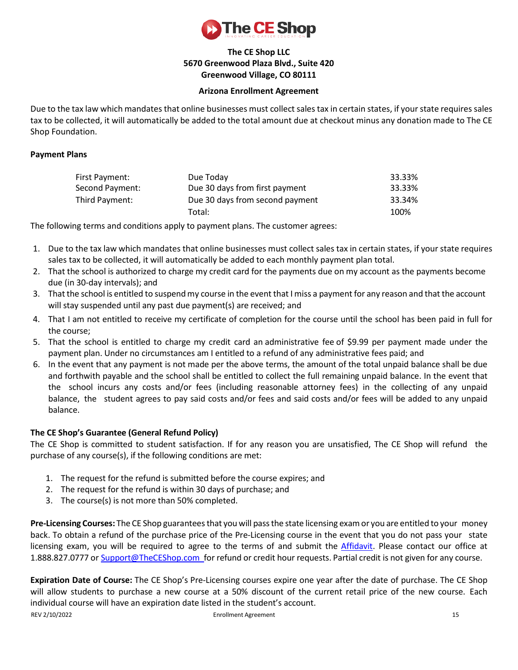

## **Arizona Enrollment Agreement**

Due to the tax law which mandates that online businesses must collect sales tax in certain states, if your state requires sales tax to be collected, it will automatically be added to the total amount due at checkout minus any donation made to The CE Shop Foundation.

## **Payment Plans**

| First Payment:  | Due Today                       | 33.33% |
|-----------------|---------------------------------|--------|
| Second Payment: | Due 30 days from first payment  | 33.33% |
| Third Pavment:  | Due 30 days from second payment | 33.34% |
|                 | Total:                          | 100%   |

The following terms and conditions apply to payment plans. The customer agrees:

- 1. Due to the tax law which mandates that online businesses must collect sales tax in certain states, if your state requires sales tax to be collected, it will automatically be added to each monthly payment plan total.
- 2. That the school is authorized to charge my credit card for the payments due on my account as the payments become due (in 30-day intervals); and
- 3. That the school is entitled to suspend my course in the event that I miss a payment for any reason and that the account will stay suspended until any past due payment(s) are received; and
- 4. That I am not entitled to receive my certificate of completion for the course until the school has been paid in full for the course;
- 5. That the school is entitled to charge my credit card an administrative fee of \$9.99 per payment made under the payment plan. Under no circumstances am I entitled to a refund of any administrative fees paid; and
- 6. In the event that any payment is not made per the above terms, the amount of the total unpaid balance shall be due and forthwith payable and the school shall be entitled to collect the full remaining unpaid balance. In the event that the school incurs any costs and/or fees (including reasonable attorney fees) in the collecting of any unpaid balance, the student agrees to pay said costs and/or fees and said costs and/or fees will be added to any unpaid balance.

## **The CE Shop's Guarantee (General Refund Policy)**

The CE Shop is committed to student satisfaction. If for any reason you are unsatisfied, The CE Shop will refund the purchase of any course(s), if the following conditions are met:

- 1. The request for the refund is submitted before the course expires; and
- 2. The request for the refund is within 30 days of purchase; and
- 3. The course(s) is not more than 50% completed.

**Pre-Licensing Courses:** The CE Shop guarantees that you will pass the state licensing exam or you are entitled to your money back. To obtain a refund of the purchase price of the Pre-Licensing course in the event that you do not pass your state licensing exam, you will be required to agree to the terms of and submit the [Affidavit.](https://www.theceshop.com/webapp/asset-storage/etsassets.synegen.com/ces-cms-dev/pdf/9f63c833-53a0-4aee-abf9-ebbb9d4cd597/Affidavit.pdf) Please contact our office at 1.888.827.0777 or [Support@TheCEShop.com](mailto:support@theceshop.com) for refund or credit hour requests. Partial credit is not given for any course.

REV 2/10/2022 **Enrollment Agreement** 15 **Expiration Date of Course:** The CE Shop's Pre-Licensing courses expire one year after the date of purchase. The CE Shop will allow students to purchase a new course at a 50% discount of the current retail price of the new course. Each individual course will have an expiration date listed in the student's account.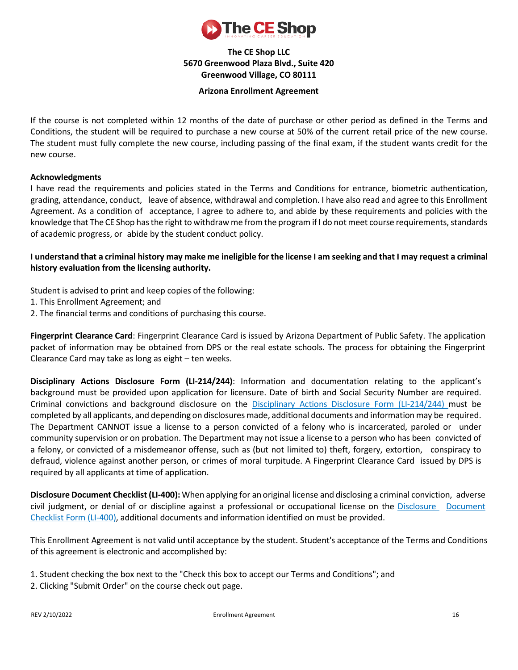

## **Arizona Enrollment Agreement**

If the course is not completed within 12 months of the date of purchase or other period as defined in the Terms and Conditions, the student will be required to purchase a new course at 50% of the current retail price of the new course. The student must fully complete the new course, including passing of the final exam, if the student wants credit for the new course.

## **Acknowledgments**

I have read the requirements and policies stated in the Terms and Conditions for entrance, biometric authentication, grading, attendance, conduct, leave of absence, withdrawal and completion. I have also read and agree to this Enrollment Agreement. As a condition of acceptance, I agree to adhere to, and abide by these requirements and policies with the knowledge that The CE Shop has the right to withdraw me from the program if I do not meet course requirements, standards of academic progress, or abide by the student conduct policy.

I understand that a criminal history may make me ineligible for the license I am seeking and that I may request a criminal **history evaluation from the licensing authority.**

Student is advised to print and keep copies of the following:

- 1. This Enrollment Agreement; and
- 2. The financial terms and conditions of purchasing this course.

**Fingerprint Clearance Card**: Fingerprint Clearance Card is issued by Arizona Department of Public Safety. The application packet of information may be obtained from DPS or the real estate schools. The process for obtaining the Fingerprint Clearance Card may take as long as eight – ten weeks.

**Disciplinary Actions Disclosure Form (LI-214/244)**: Information and documentation relating to the applicant's background must be provided upon application for licensure. Date of birth and Social Security Number are required. Criminal convictions and background disclosure on the Disciplinary Actions Disclosure Form [\(LI-214/244\)](http://www.azre.gov/Lic/LicForms.aspx) must be completed by all applicants, and depending on disclosures made, additional documents and information may be required. The Department CANNOT issue a license to a person convicted of a felony who is incarcerated, paroled or under community supervision or on probation. The Department may not issue a license to a person who has been convicted of a felony, or convicted of a misdemeanor offense, such as (but not limited to) theft, forgery, extortion, conspiracy to defraud, violence against another person, or crimes of moral turpitude. A Fingerprint Clearance Card issued by DPS is required by all applicants at time of application.

**Disclosure Document Checklist (LI-400):** When applying for an original license and disclosing a criminal conviction, adverse civil judgment, or denial of or discipline against a professional or occupational license on the [Disclosure](http://www.azre.gov/Lic/LicForms.aspx) [Document](http://www.azre.gov/Lic/LicForms.aspx) [Checklist](http://www.azre.gov/Lic/LicForms.aspx) Form (LI-400), additional documents and information identified on must be provided.

This Enrollment Agreement is not valid until acceptance by the student. Student's acceptance of the Terms and Conditions of this agreement is electronic and accomplished by:

- 1. Student checking the box next to the "Check this box to accept our Terms and Conditions"; and
- 2. Clicking "Submit Order" on the course check out page.